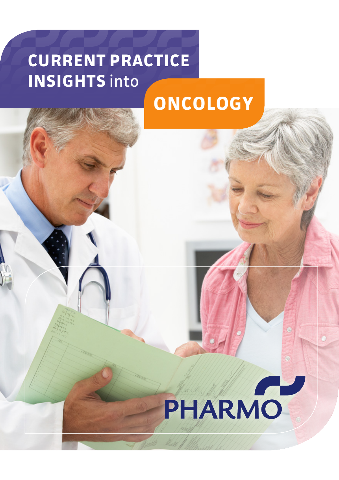# **CURRENT PRACTICE INSIGHTS** into

# **ONCOLOGY**

# PHARMO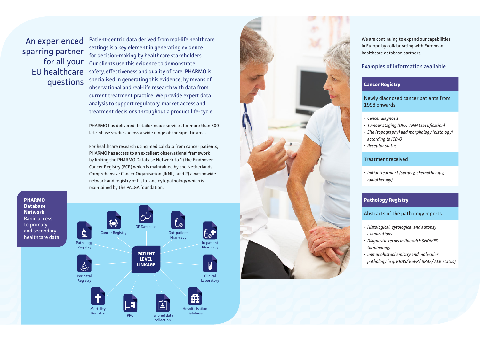An experienced sparring partner for all your EU healthcare questions

Patient-centric data derived from real-life healthcare settings is a key element in generating evidence for decision-making by healthcare stakeholders. Our clients use this evidence to demonstrate safety, effectiveness and quality of care. PHARMO is specialised in generating this evidence, by means of observational and real-life research with data from current treatment practice. We provide expert data analysis to support regulatory, market access and treatment decisions throughout a product life-cycle.

PHARMO has delivered its tailor-made services for more than 600 late-phase studies across a wide range of therapeutic areas.

For healthcare research using medical data from cancer patients, PHARMO has access to an excellent observational framework by linking the PHARMO Database Network to 1) the Eindhoven Cancer Registry (ECR) which is maintained by the Netherlands Comprehensive Cancer Organisation (IKNL), and 2) a nationwide network and registry of histo- and cytopathology which is maintained by the PALGA foundation.

**PHARMO Database Network** Rapid access to primary and secondary healthcare data





We are continuing to expand our capabilities in Europe by collaborating with European healthcare database partners.

#### Examples of information available

## **Cancer Registry**

Newly diagnosed cancer patients from 1998 onwards

- 
- *• Cancer diagnosis • Tumour staging (UICC TNM Classification)*
- *• Site (topography) and morphology (histology) according to ICD-O*
- *• Receptor status*

#### Treatment received

*• Initial treatment (surgery, chemotherapy, radiotherapy)*

## **Pathology Registry**

#### Abstracts of the pathology reports

- *• Histological, cytological and autopsy examinations*
- *• Diagnostic terms in line with SNOMED terminology*
- *• Immunohistochemistry and molecular pathology (e.g. KRAS/ EGFR/ BRAF/ ALK status)*